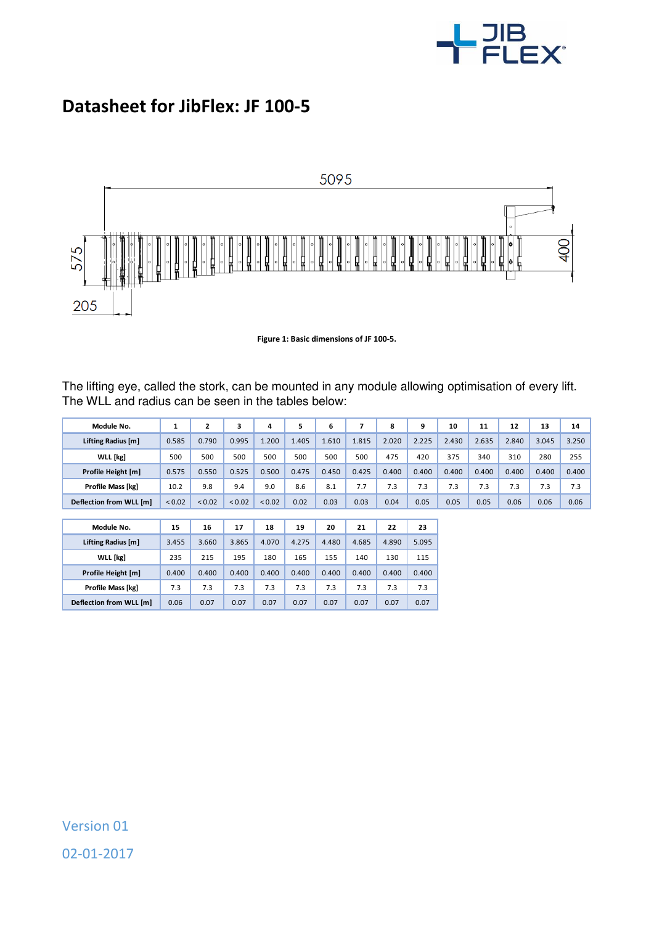

## **Datasheet for JibFlex: JF 100-5**



**Figure 1: Basic dimensions of JF 100-5.** 

The lifting eye, called the stork, can be mounted in any module allowing optimisation of every lift. The WLL and radius can be seen in the tables below:

| Module No.              |        | 2           | 3           | 4           | 5     | 6     |       | 8     | 9     | 10    | 11    | 12    | 13    | 14    |
|-------------------------|--------|-------------|-------------|-------------|-------|-------|-------|-------|-------|-------|-------|-------|-------|-------|
| Lifting Radius [m]      | 0.585  | 0.790       | 0.995       | 1.200       | 1.405 | 1.610 | 1.815 | 2.020 | 2.225 | 2.430 | 2.635 | 2.840 | 3.045 | 3.250 |
| WLL [kg]                | 500    | 500         | 500         | 500         | 500   | 500   | 500   | 475   | 420   | 375   | 340   | 310   | 280   | 255   |
| Profile Height [m]      | 0.575  | 0.550       | 0.525       | 0.500       | 0.475 | 0.450 | 0.425 | 0.400 | 0.400 | 0.400 | 0.400 | 0.400 | 0.400 | 0.400 |
| Profile Mass [kg]       | 10.2   | 9.8         | 9.4         | 9.0         | 8.6   | 8.1   | 7.7   | 7.3   | 7.3   | 7.3   | 7.3   | 7.3   | 7.3   | 7.3   |
| Deflection from WLL [m] | < 0.02 | ${}_{0.02}$ | ${}_{0.02}$ | ${}_{0.02}$ | 0.02  | 0.03  | 0.03  | 0.04  | 0.05  | 0.05  | 0.05  | 0.06  | 0.06  | 0.06  |
|                         |        |             |             |             |       |       |       |       |       |       |       |       |       |       |

| Module No.              | 15    | 16    | 17    | 18    | 19    | 20    | 21    | 22    | 23    |
|-------------------------|-------|-------|-------|-------|-------|-------|-------|-------|-------|
| Lifting Radius [m]      | 3.455 | 3.660 | 3.865 | 4.070 | 4.275 | 4.480 | 4.685 | 4.890 | 5.095 |
| <b>WLL</b> [kg]         | 235   | 215   | 195   | 180   | 165   | 155   | 140   | 130   | 115   |
| Profile Height [m]      | 0.400 | 0.400 | 0.400 | 0.400 | 0.400 | 0.400 | 0.400 | 0.400 | 0.400 |
| Profile Mass [kg]       | 7.3   | 7.3   | 7.3   | 7.3   | 7.3   | 7.3   | 7.3   | 7.3   | 7.3   |
| Deflection from WLL [m] | 0.06  | 0.07  | 0.07  | 0.07  | 0.07  | 0.07  | 0.07  | 0.07  | 0.07  |